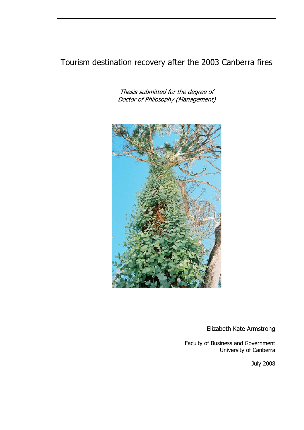### Tourism destination recovery after the 2003 Canberra fires

Thesis submitted for the degree of Doctor of Philosophy (Management)



Elizabeth Kate Armstrong

Faculty of Business and Government University of Canberra

July 2008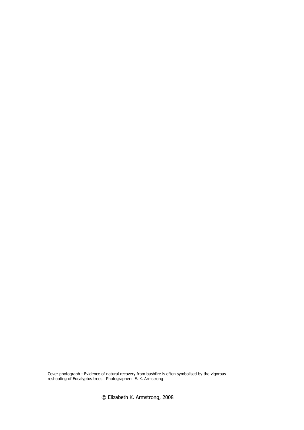Cover photograph - Evidence of natural recovery from bushfire is often symbolised by the vigorous reshooting of Eucalyptus trees. Photographer: E. K. Armstrong

© Elizabeth K. Armstrong, 2008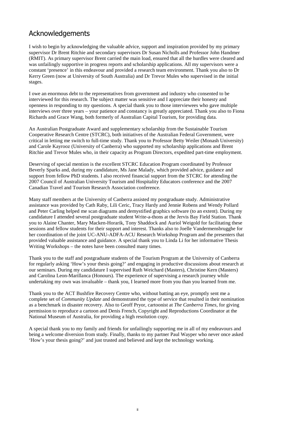#### Acknowledgements

I wish to begin by acknowledging the valuable advice, support and inspiration provided by my primary supervisor Dr Brent Ritchie and secondary supervisors Dr Susan Nicholls and Professor John Handmer (RMIT). As primary supervisor Brent carried the main load, ensured that all the hurdles were cleared and was unfailingly supportive in progress reports and scholarship applications. All my supervisors were a constant 'presence' in this endeavour and provided a research team environment. Thank you also to Dr Kerry Green (now at University of South Australia) and Dr Trevor Mules who supervised in the initial stages.

I owe an enormous debt to the representatives from government and industry who consented to be interviewed for this research. The subject matter was sensitive and I appreciate their honesty and openness in responding to my questions. A special thank you to those interviewees who gave multiple interviews over three years – your patience and constancy is greatly appreciated. Thank you also to Fiona Richards and Grace Wang, both formerly of Australian Capital Tourism, for providing data.

An Australian Postgraduate Award and supplementary scholarship from the Sustainable Tourism Cooperative Research Centre (STCRC), both initiatives of the Australian Federal Government, were critical in letting me switch to full-time study. Thank you to Professor Betty Weiler (Monash University) and Carole Kayrooz (University of Canberra) who supported my scholarship applications and Brent Ritchie and Trevor Mules who, in their capacity as Program Directors, expedited part-time employment.

Deserving of special mention is the excellent STCRC Education Program coordinated by Professor Beverly Sparks and, during my candidature, Ms Jane Malady, which provided advice, guidance and support from fellow PhD students. I also received financial support from the STCRC for attending the 2007 Council of Australian University Tourism and Hospitality Educators conference and the 2007 Canadian Travel and Tourism Research Association conference.

Many staff members at the University of Canberra assisted my postgraduate study. Administrative assistance was provided by Cath Raby, Lili Ceric, Tracy Hardy and Jennie Robens and Wendy Pollard and Peter Carling helped me scan diagrams and demystified graphics software (to an extent). During my candidature I attended several postgraduate student Write-a-thons at the Jervis Bay Field Station. Thank you to Alaine Chanter, Mary Macken-Horarik, Tony Shaddock and Auriol Weigold for facilitating these sessions and fellow students for their support and interest. Thanks also to Joelle Vandermensbrugghe for her coordination of the joint UC-ANU-ADFA-ACU Research Workshop Program and the presenters that provided valuable assistance and guidance. A special thank you to Linda Li for her informative Thesis Writing Workshops – the notes have been consulted many times.

Thank you to the staff and postgraduate students of the Tourism Program at the University of Canberra for regularly asking 'How's your thesis going?' and engaging in productive discussions about research at our seminars. During my candidature I supervised Ruth Weichard (Masters), Christine Kern (Masters) and Carolina Leon-Marillanca (Honours). The experience of supervising a research journey while undertaking my own was invaluable – thank you, I learned more from you than you learned from me.

Thank you to the ACT Bushfire Recovery Centre who, without batting an eye, promptly sent me a complete set of *Community Update* and demonstrated the type of service that resulted in their nomination as a benchmark in disaster recovery. Also to Geoff Pryor, cartoonist at *The Canberra Times*, for giving permission to reproduce a cartoon and Denis French, Copyright and Reproductions Coordinator at the National Museum of Australia, for providing a high resolution copy.

A special thank you to my family and friends for unfailingly supporting me in all of my endeavours and being a welcome diversion from study. Finally, thanks to my partner Paul Wayper who never once asked 'How's your thesis going?' and just trusted and believed and kept the technology working.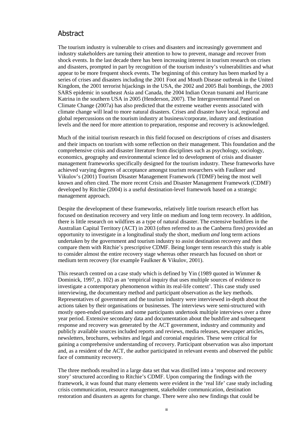#### Abstract

The tourism industry is vulnerable to crises and disasters and increasingly government and industry stakeholders are turning their attention to how to prevent, manage and recover from shock events. In the last decade there has been increasing interest in tourism research on crises and disasters, prompted in part by recognition of the tourism industry's vulnerabilities and what appear to be more frequent shock events. The beginning of this century has been marked by a series of crises and disasters including the 2001 Foot and Mouth Disease outbreak in the United Kingdom, the 2001 terrorist hijackings in the USA, the 2002 and 2005 Bali bombings, the 2003 SARS epidemic in southeast Asia and Canada, the 2004 Indian Ocean tsunami and Hurricane Katrina in the southern USA in 2005 (Henderson, 2007). The Intergovernmental Panel on Climate Change (2007a) has also predicted that the extreme weather events associated with climate change will lead to more natural disasters. Crises and disaster have local, regional and global repercussions on the tourism industry at business/corporate, industry and destination levels and the need for more attention to preparation, response and recovery is acknowledged.

Much of the initial tourism research in this field focused on descriptions of crises and disasters and their impacts on tourism with some reflection on their management. This foundation and the comprehensive crisis and disaster literature from disciplines such as psychology, sociology, economics, geography and environmental science led to development of crisis and disaster management frameworks specifically designed for the tourism industry. These frameworks have achieved varying degrees of acceptance amongst tourism researchers with Faulkner and Vikulov's (2001) Tourism Disaster Management Framework (TDMF) being the most well known and often cited. The more recent Crisis and Disaster Management Framework (CDMF) developed by Ritchie (2004) is a useful destination-level framework based on a strategic management approach.

Despite the development of these frameworks, relatively little tourism research effort has focused on destination recovery and very little on medium and long term recovery. In addition, there is little research on wildfires as a type of natural disaster. The extensive bushfires in the Australian Capital Territory (ACT) in 2003 (often referred to as the Canberra fires) provided an opportunity to investigate in a longitudinal study the short, medium *and* long term actions undertaken by the government and tourism industry to assist destination recovery and then compare them with Ritchie's prescriptive CDMF. Being longer term research this study is able to consider almost the entire recovery stage whereas other research has focused on short or medium term recovery (for example Faulkner & Vikulov, 2001).

This research centred on a case study which is defined by Yin (1989 quoted in Wimmer  $\&$ Dominick, 1997, p. 102) as an 'empirical inquiry that uses multiple sources of evidence to investigate a contemporary phenomenon within its real-life context'. This case study used interviewing, the documentary method and participant observation as the key methods. Representatives of government and the tourism industry were interviewed in-depth about the actions taken by their organisations or businesses. The interviews were semi-structured with mostly open-ended questions and some participants undertook multiple interviews over a three year period. Extensive secondary data and documentation about the bushfire and subsequent response and recovery was generated by the ACT government, industry and community and publicly available sources included reports and reviews, media releases, newspaper articles, newsletters, brochures, websites and legal and coronial enquiries. These were critical for gaining a comprehensive understanding of recovery. Participant observation was also important and, as a resident of the ACT, the author participated in relevant events and observed the public face of community recovery.

The three methods resulted in a large data set that was distilled into a 'response and recovery story' structured according to Ritchie's CDMF. Upon comparing the findings with the framework, it was found that many elements were evident in the 'real life' case study including crisis communication, resource management, stakeholder communication, destination restoration and disasters as agents for change. There were also new findings that could be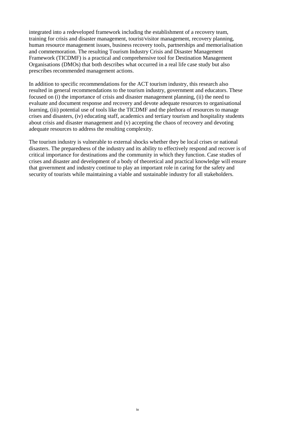integrated into a redeveloped framework including the establishment of a recovery team, training for crisis and disaster management, tourist/visitor management, recovery planning, human resource management issues, business recovery tools, partnerships and memorialisation and commemoration. The resulting Tourism Industry Crisis and Disaster Management Framework (TICDMF) is a practical and comprehensive tool for Destination Management Organisations (DMOs) that both describes what occurred in a real life case study but also prescribes recommended management actions.

In addition to specific recommendations for the ACT tourism industry, this research also resulted in general recommendations to the tourism industry, government and educators. These focused on (i) the importance of crisis and disaster management planning, (ii) the need to evaluate and document response and recovery and devote adequate resources to organisational learning, (iii) potential use of tools like the TICDMF and the plethora of resources to manage crises and disasters, (iv) educating staff, academics and tertiary tourism and hospitality students about crisis and disaster management and (v) accepting the chaos of recovery and devoting adequate resources to address the resulting complexity.

The tourism industry is vulnerable to external shocks whether they be local crises or national disasters. The preparedness of the industry and its ability to effectively respond and recover is of critical importance for destinations and the community in which they function. Case studies of crises and disaster and development of a body of theoretical and practical knowledge will ensure that government and industry continue to play an important role in caring for the safety and security of tourists while maintaining a viable and sustainable industry for all stakeholders.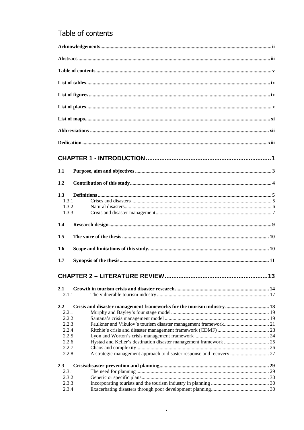### Table of contents

| 1.1        |                                                                       |  |
|------------|-----------------------------------------------------------------------|--|
| 1.2        |                                                                       |  |
| 1.3        |                                                                       |  |
| 1.3.1      |                                                                       |  |
| 1.3.2      |                                                                       |  |
| 1.3.3      |                                                                       |  |
| 1.4        |                                                                       |  |
| 1.5        |                                                                       |  |
| 1.6        |                                                                       |  |
| 1.7        |                                                                       |  |
|            |                                                                       |  |
|            |                                                                       |  |
| 2.1        |                                                                       |  |
| 2.1.1      |                                                                       |  |
| 2,2        | Crisis and disaster management frameworks for the tourism industry 18 |  |
| 2.2.1      |                                                                       |  |
| 2.2.2      |                                                                       |  |
| 2.2.3      |                                                                       |  |
| 2.2.4      |                                                                       |  |
| 2.2.5      |                                                                       |  |
| 2.2.6      |                                                                       |  |
| 2.2.7      |                                                                       |  |
| 2.2.8      | A strategic management approach to disaster response and recovery  27 |  |
| <b>2.3</b> |                                                                       |  |
| 2.3.1      |                                                                       |  |
| 2.3.2      |                                                                       |  |
| 2.3.3      |                                                                       |  |
| 2.3.4      |                                                                       |  |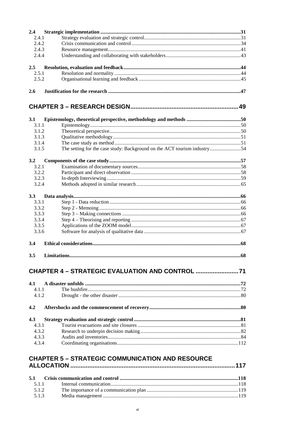| 2,4                           |                                                                          |    |
|-------------------------------|--------------------------------------------------------------------------|----|
| 2.4.1                         |                                                                          |    |
| 2.4.2                         |                                                                          |    |
| 2.4.3                         |                                                                          |    |
| 2.4.4                         |                                                                          |    |
| 2.5                           |                                                                          |    |
| 2.5.1                         |                                                                          |    |
| 2.5.2                         |                                                                          |    |
| 2.6                           |                                                                          |    |
|                               |                                                                          |    |
|                               |                                                                          |    |
| 3.1                           |                                                                          |    |
| 3.1.1                         |                                                                          |    |
| 3.1.2<br>3.1.3                |                                                                          |    |
| 3.1.4                         |                                                                          |    |
| 3.1.5                         | The setting for the case study: Background on the ACT tourism industry54 |    |
|                               |                                                                          |    |
| 3.2                           |                                                                          |    |
| 3.2.1                         |                                                                          |    |
| 3.2.2                         |                                                                          |    |
| 3.2.3                         |                                                                          |    |
| 3.2.4                         |                                                                          |    |
| 3.3                           |                                                                          |    |
| 3.3.1                         |                                                                          |    |
| 3.3.2                         |                                                                          |    |
| 3.3.3                         |                                                                          |    |
| 3.3.4                         |                                                                          |    |
| 3.3.5                         |                                                                          |    |
| 3.3.6                         |                                                                          |    |
| 3.4                           |                                                                          |    |
|                               |                                                                          |    |
| $3.5^{\circ}$<br>Limitations. |                                                                          | 68 |
|                               | CHAPTER 4 - STRATEGIC EVALUATION AND CONTROL                             |    |
|                               |                                                                          |    |
| 4.1<br>4.1.1                  |                                                                          |    |
| 4.1.2                         |                                                                          |    |
|                               |                                                                          |    |
| 4.2                           |                                                                          |    |
| 4.3                           |                                                                          |    |
| 4.3.1                         |                                                                          |    |
| 4.3.2                         |                                                                          |    |
| 4.3.3                         |                                                                          |    |
| 4.3.4                         |                                                                          |    |
|                               |                                                                          |    |
|                               | <b>CHAPTER 5 - STRATEGIC COMMUNICATION AND RESOURCE</b>                  |    |
|                               |                                                                          |    |

| 5.1.2 |  |
|-------|--|
| 5.1.3 |  |
|       |  |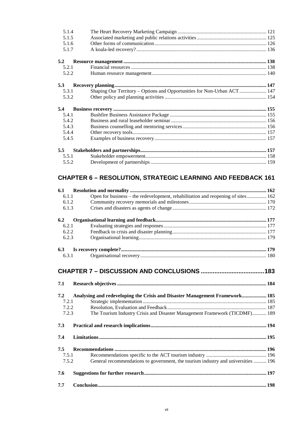| 5.1.4 |                                                                         |  |
|-------|-------------------------------------------------------------------------|--|
| 5.1.5 |                                                                         |  |
| 5.1.6 |                                                                         |  |
| 5.1.7 |                                                                         |  |
| 5.2   |                                                                         |  |
| 5.2.1 |                                                                         |  |
| 5.2.2 |                                                                         |  |
| 5.3   |                                                                         |  |
| 5.3.1 | Shaping Our Territory - Options and Opportunities for Non-Urban ACT 147 |  |
| 5.3.2 |                                                                         |  |
|       |                                                                         |  |
| 5.4   |                                                                         |  |
| 5.4.1 |                                                                         |  |
| 5.4.2 |                                                                         |  |
| 5.4.3 |                                                                         |  |
| 5.4.4 |                                                                         |  |
| 5.4.5 |                                                                         |  |
| 5.5   |                                                                         |  |
| 5.5.1 |                                                                         |  |

### **CHAPTER 6 – RESOLUTION, STRATEGIC LEARNING AND FEEDBACK 161**

| 6.1   |                                                                                   |  |
|-------|-----------------------------------------------------------------------------------|--|
| 6.1.1 | Open for business – the redevelopment, rehabilitation and reopening of sites  162 |  |
| 6.1.2 |                                                                                   |  |
| 6.1.3 |                                                                                   |  |
| 6.2   |                                                                                   |  |
| 6.2.1 |                                                                                   |  |
| 6.2.2 |                                                                                   |  |
| 6.2.3 |                                                                                   |  |
| 6.3   |                                                                                   |  |
| 6.3.1 |                                                                                   |  |
|       |                                                                                   |  |
| 7.1   |                                                                                   |  |
| 7.2   | Analysing and redeveloping the Crisis and Disaster Management Framework 185       |  |
| 7.2.1 |                                                                                   |  |
| 7.2.2 |                                                                                   |  |
| 7.2.3 | The Tourism Industry Crisis and Disaster Management Framework (TICDMF) 189        |  |
| 7.3   |                                                                                   |  |
| 7.4   |                                                                                   |  |
| 7.5   |                                                                                   |  |
| 7.5.1 |                                                                                   |  |
| 7.5.2 | General recommendations to government, the tourism industry and universities  196 |  |
| 7.6   |                                                                                   |  |
| 7.7   |                                                                                   |  |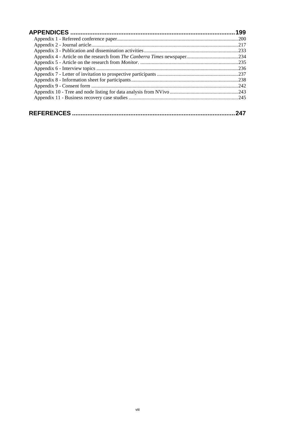| 199  |
|------|
|      |
| .217 |
|      |
|      |
|      |
|      |
|      |
|      |
| .242 |
|      |
|      |
|      |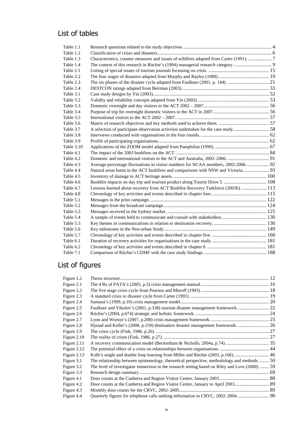### List of tables

| Table 1.1  |                                                                                       |  |
|------------|---------------------------------------------------------------------------------------|--|
| Table 1.2  |                                                                                       |  |
| Table 1.3  | Characteristics, counter measures and issues of wildfires adapted from Carter (1991). |  |
| Table 1.4  | The context of this research in Ritchie's (1994) managerial research category 9       |  |
| Table 2.1  |                                                                                       |  |
| Table 2.2  |                                                                                       |  |
| Table 2.3  |                                                                                       |  |
| Table 2.4  |                                                                                       |  |
| Table 3.1  |                                                                                       |  |
| Table 3.2  |                                                                                       |  |
| Table 3.3  |                                                                                       |  |
| Table 3.4  |                                                                                       |  |
| Table 3.5  |                                                                                       |  |
| Table 3.6  |                                                                                       |  |
| Table 3.7  | A selection of participant-observation activities undertaken for the case study58     |  |
| Table 3.8  |                                                                                       |  |
| Table 3.9  |                                                                                       |  |
| Table 3.10 |                                                                                       |  |
| Table 4.1  |                                                                                       |  |
| Table 4.2  |                                                                                       |  |
| Table 4.3  | Average percentage fluctuations in visitor numbers for NCAA members, 2002-2006 92     |  |
| Table 4.4  | Natural areas burnt in the ACT bushfires and comparisons with NSW and Victoria.  93   |  |
| Table 4.5  |                                                                                       |  |
| Table 4.6  | Bushfire impacts on day trip and tourism product along Tourist Drive 5.  108          |  |
| Table 4.7  | Lessons learned about recovery from ACT Bushfire Recovery Taskforce (2003b).  113     |  |
| Table 4.8  |                                                                                       |  |
| Table 5.1  |                                                                                       |  |
| Table 5.2  |                                                                                       |  |
| Table 5.3  |                                                                                       |  |
| Table 5.4  |                                                                                       |  |
| Table 5.5  |                                                                                       |  |
| Table 5.6  |                                                                                       |  |
| Table 5.7  |                                                                                       |  |
| Table 6.1  |                                                                                       |  |
| Table 6.2  |                                                                                       |  |
| Table 7.1  |                                                                                       |  |

## List of figures

| Figure 2.1<br>Figure 2.2<br>Figure 2.3<br>Figure 2.4<br>Faulkner and Vikulov's (2001, p.338) tourism disaster management framework 22<br>Figure 2.5<br>Figure 2.6 |  |
|-------------------------------------------------------------------------------------------------------------------------------------------------------------------|--|
|                                                                                                                                                                   |  |
|                                                                                                                                                                   |  |
|                                                                                                                                                                   |  |
|                                                                                                                                                                   |  |
|                                                                                                                                                                   |  |
|                                                                                                                                                                   |  |
| Figure 2.7                                                                                                                                                        |  |
| Hystad and Keller's (2008, p.159) destination disaster management framework.  26<br>Figure 2.8                                                                    |  |
| Figure 2.9                                                                                                                                                        |  |
| Figure 2.10                                                                                                                                                       |  |
| Figure 2.11                                                                                                                                                       |  |
| Figure 2.12                                                                                                                                                       |  |
| Figure 2.13                                                                                                                                                       |  |
| The relationship between epistemology, theoretical perspective, methodology and methods.  50<br>Figure 3.1                                                        |  |
| The level of investigator immersion in the research setting based on Riley and Love (2000).  59<br>Figure 3.2                                                     |  |
| Figure 3.3                                                                                                                                                        |  |
| Figure 4.1                                                                                                                                                        |  |
| Figure 4.2                                                                                                                                                        |  |
| Figure 4.3                                                                                                                                                        |  |
| Figure 4.4                                                                                                                                                        |  |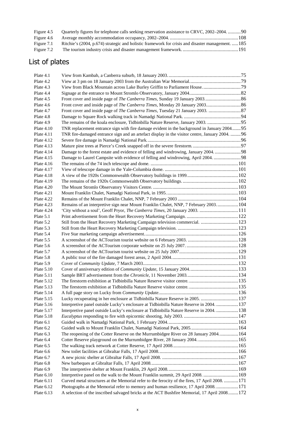| Figure 4.5 |                                                                                                   |  |
|------------|---------------------------------------------------------------------------------------------------|--|
| Figure 4.6 |                                                                                                   |  |
| Figure 7.1 | Ritchie's (2004, p.674) strategic and holistic framework for crisis and disaster management.  185 |  |
| Figure 7.2 |                                                                                                   |  |
|            |                                                                                                   |  |

# List of plates

| Plate 4.1    |                                                                                                 |  |
|--------------|-------------------------------------------------------------------------------------------------|--|
| Plate 4.2    |                                                                                                 |  |
| Plate 4.3    |                                                                                                 |  |
| Plate 4.4    |                                                                                                 |  |
| Plate 4.5    |                                                                                                 |  |
| Plate 4.6    |                                                                                                 |  |
| Plate 4.7    |                                                                                                 |  |
| Plate 4.8    |                                                                                                 |  |
| Plate 4.9    | The remains of the koala enclosure, Tidbinbilla Nature Reserve, January 2003. 95                |  |
| Plate $4.10$ | TNR replacement entrance sign with fire damage evident in the background in January 200495      |  |
| Plate $4.11$ | TNR fire-damaged entrance sign and an artefact display in the visitor centre, January 2004.  96 |  |
| Plate 4.12   |                                                                                                 |  |
| Plate $4.13$ |                                                                                                 |  |
| Plate $4.14$ | Damage to the forest estate and evidence of felling and windrowing, January 2004. 98            |  |
| Plate $4.15$ | Damage to Laurel Campsite with evidence of felling and windrowing, April 2004.  98              |  |
| Plate $4.16$ |                                                                                                 |  |
| Plate $4.17$ |                                                                                                 |  |
| Plate 4.18   |                                                                                                 |  |
| Plate 4.19   |                                                                                                 |  |
| Plate $4.20$ |                                                                                                 |  |
| Plate 4.21   |                                                                                                 |  |
| Plate 4.22   |                                                                                                 |  |
| Plate 4.23   | Remains of an interpretive sign near Mount Franklin Chalet, NNP, 7 February 2003104             |  |
| Plate 4.24   | 'City without a soul', Geoff Pryor, The Canberra Times, 20 January 2003. 111                    |  |
| Plate 5.1    |                                                                                                 |  |
| Plate 5.2    | Still from the Heart Recovery Marketing Campaign television commercial.  123                    |  |
| Plate 5.3    |                                                                                                 |  |
| Plate 5.4    |                                                                                                 |  |
| Plate 5.5    |                                                                                                 |  |
| Plate 5.6    |                                                                                                 |  |
| Plate 5.7    |                                                                                                 |  |
| Plate 5.8    |                                                                                                 |  |
| Plate 5.9    |                                                                                                 |  |
| Plate $5.10$ |                                                                                                 |  |
|              |                                                                                                 |  |
| Plate $5.11$ |                                                                                                 |  |
| Plate $5.12$ |                                                                                                 |  |
| Plate $5.13$ |                                                                                                 |  |
| Plate $5.14$ |                                                                                                 |  |
| Plate 5.15   | Lucky recuperating in her enclosure at Tidbinbilla Nature Reserve in 2005.  137                 |  |
| Plate 5.16   | Interpretive panel outside Lucky's enclosure at Tidbinbilla Nature Reserve in 2004.  137        |  |
| Plate 5.17   | Interpretive panel outside Lucky's enclosure at Tidbinbilla Nature Reserve in 2004.  138        |  |
| Plate 5.18   |                                                                                                 |  |
| Plate 6.1    |                                                                                                 |  |
| Plate 6.2    |                                                                                                 |  |
| Plate 6.3    | The reopening of the Cotter Reserve on the Murrumbidgee River on 28 January 2004164             |  |
| Plate 6.4    | Cotter Reserve playground on the Murrumbidgee River, 28 January 2004.  165                      |  |
| Plate 6.5    |                                                                                                 |  |
| Plate 6.6    |                                                                                                 |  |
| Plate 6.7    |                                                                                                 |  |
| Plate 6.8    |                                                                                                 |  |
| Plate 6.9    |                                                                                                 |  |
| Plate $6.10$ | Interpretive panel on the walk to the Mount Franklin summit, 29 April 2008.  169                |  |
| Plate 6.11   | Curved metal structures at the Memorial refer to the ferocity of the fires, 17 April 2008. 171  |  |
| Plate 6.12   | Photographs at the Memorial refer to memory and human resilience, 17 April 2008171              |  |
| Plate 6.13   | A selection of the inscribed salvaged bricks at the ACT Bushfire Memorial, 17 April 2008172     |  |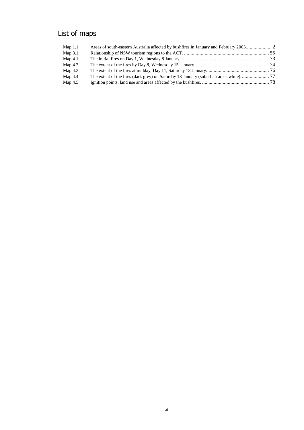## List of maps

| Map $1.1$ | Areas of south-eastern Australia affected by bushfires in January and February 2003 |  |
|-----------|-------------------------------------------------------------------------------------|--|
| Map $3.1$ |                                                                                     |  |
| Map $4.1$ |                                                                                     |  |
| Map $4.2$ |                                                                                     |  |
| Map $4.3$ |                                                                                     |  |
| Map $4.4$ |                                                                                     |  |
| Map 4.5   |                                                                                     |  |
|           |                                                                                     |  |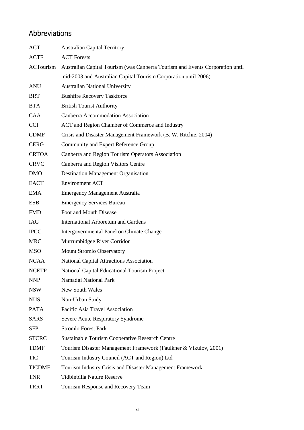#### Abbreviations

| ACT              | <b>Australian Capital Territory</b>                                           |
|------------------|-------------------------------------------------------------------------------|
| <b>ACTF</b>      | <b>ACT</b> Forests                                                            |
| <b>ACTourism</b> | Australian Capital Tourism (was Canberra Tourism and Events Corporation until |
|                  | mid-2003 and Australian Capital Tourism Corporation until 2006)               |
| <b>ANU</b>       | <b>Australian National University</b>                                         |
| <b>BRT</b>       | <b>Bushfire Recovery Taskforce</b>                                            |
| <b>BTA</b>       | <b>British Tourist Authority</b>                                              |
| <b>CAA</b>       | Canberra Accommodation Association                                            |
| <b>CCI</b>       | ACT and Region Chamber of Commerce and Industry                               |
| <b>CDMF</b>      | Crisis and Disaster Management Framework (B. W. Ritchie, 2004)                |
| <b>CERG</b>      | Community and Expert Reference Group                                          |
| <b>CRTOA</b>     | Canberra and Region Tourism Operators Association                             |
| <b>CRVC</b>      | Canberra and Region Visitors Centre                                           |
| <b>DMO</b>       | <b>Destination Management Organisation</b>                                    |
| <b>EACT</b>      | <b>Environment ACT</b>                                                        |
| <b>EMA</b>       | <b>Emergency Management Australia</b>                                         |
| <b>ESB</b>       | <b>Emergency Services Bureau</b>                                              |
| <b>FMD</b>       | Foot and Mouth Disease                                                        |
| IAG              | <b>International Arboretum and Gardens</b>                                    |
| <b>IPCC</b>      | Intergovernmental Panel on Climate Change                                     |
| <b>MRC</b>       | Murrumbidgee River Corridor                                                   |
| <b>MSO</b>       | Mount Stromlo Observatory                                                     |
| <b>NCAA</b>      | National Capital Attractions Association                                      |
| <b>NCETP</b>     | National Capital Educational Tourism Project                                  |
| <b>NNP</b>       | Namadgi National Park                                                         |
| <b>NSW</b>       | <b>New South Wales</b>                                                        |
| <b>NUS</b>       | Non-Urban Study                                                               |
| <b>PATA</b>      | Pacific Asia Travel Association                                               |
| <b>SARS</b>      | Severe Acute Respiratory Syndrome                                             |
| <b>SFP</b>       | <b>Stromlo Forest Park</b>                                                    |
| <b>STCRC</b>     | <b>Sustainable Tourism Cooperative Research Centre</b>                        |
| <b>TDMF</b>      | Tourism Disaster Management Framework (Faulkner & Vikulov, 2001)              |
| <b>TIC</b>       | Tourism Industry Council (ACT and Region) Ltd                                 |
| <b>TICDMF</b>    | Tourism Industry Crisis and Disaster Management Framework                     |
| <b>TNR</b>       | Tidbinbilla Nature Reserve                                                    |
| <b>TRRT</b>      | Tourism Response and Recovery Team                                            |